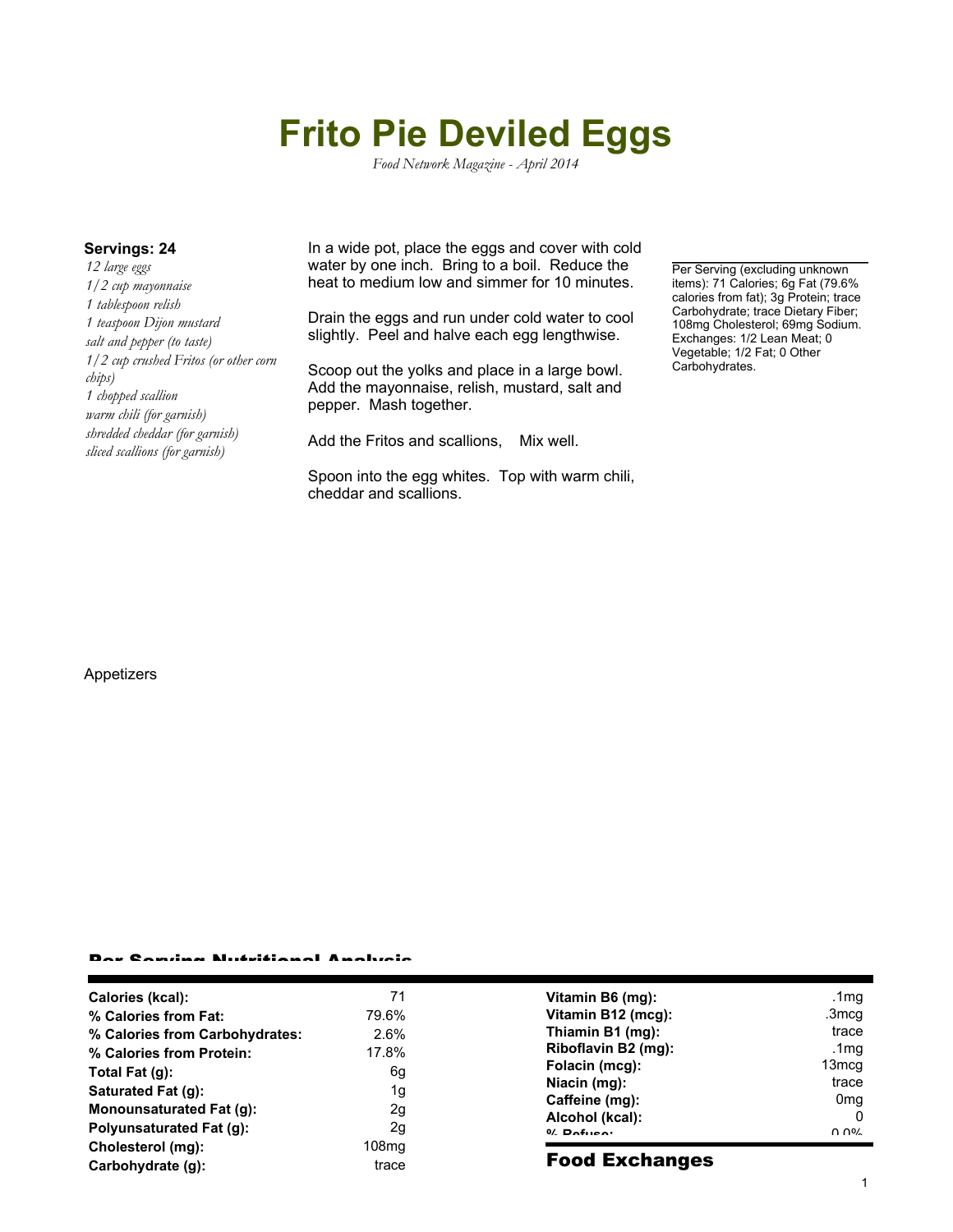# **Frito Pie Deviled Eggs**

*Food Network Magazine - April 2014*

*12 large eggs 1/2 cup mayonnaise 1 tablespoon relish 1 teaspoon Dijon mustard salt and pepper (to taste) 1/2 cup crushed Fritos (or other corn chips) 1 chopped scallion warm chili (for garnish) shredded cheddar (for garnish) sliced scallions (for garnish)*

**Servings: 24** In a wide pot, place the eggs and cover with cold water by one inch. Bring to a boil. Reduce the heat to medium low and simmer for 10 minutes.

> Drain the eggs and run under cold water to cool slightly. Peel and halve each egg lengthwise.

Scoop out the yolks and place in a large bowl. Add the mayonnaise, relish, mustard, salt and pepper. Mash together.

Add the Fritos and scallions, Mix well.

Spoon into the egg whites. Top with warm chili, cheddar and scallions.

Per Serving (excluding unknown items): 71 Calories; 6g Fat (79.6% calories from fat); 3g Protein; trace Carbohydrate; trace Dietary Fiber; 108mg Cholesterol; 69mg Sodium. Exchanges: 1/2 Lean Meat; 0 Vegetable; 1/2 Fat; 0 Other Carbohydrates.

#### Appetizers

### Per Serving Nutritional Analysis

| Calories (kcal):                | 71    | Vitamin B6 (mg):      | .1 $mg$         |
|---------------------------------|-------|-----------------------|-----------------|
| % Calories from Fat:            | 79.6% | Vitamin B12 (mcg):    | .3mcg           |
| % Calories from Carbohydrates:  | 2.6%  | Thiamin B1 (mg):      | trace           |
| % Calories from Protein:        | 17.8% | Riboflavin B2 (mg):   | .1mg            |
| Total Fat $(g)$ :               | 6g    | Folacin (mcg):        | 13mcq           |
| Saturated Fat (g):              | 1g    | Niacin (mg):          | trace           |
| <b>Monounsaturated Fat (g):</b> | 2g    | Caffeine (mg):        | 0 <sub>mq</sub> |
| <b>Polyunsaturated Fat (g):</b> | 2g    | Alcohol (kcal):       | 0               |
| Cholesterol (mg):               | 108mg | $0/2$ Pofileon        | በ በ%            |
|                                 | trace | <b>Food Exchanges</b> |                 |
| Carbohydrate (g):               |       |                       |                 |